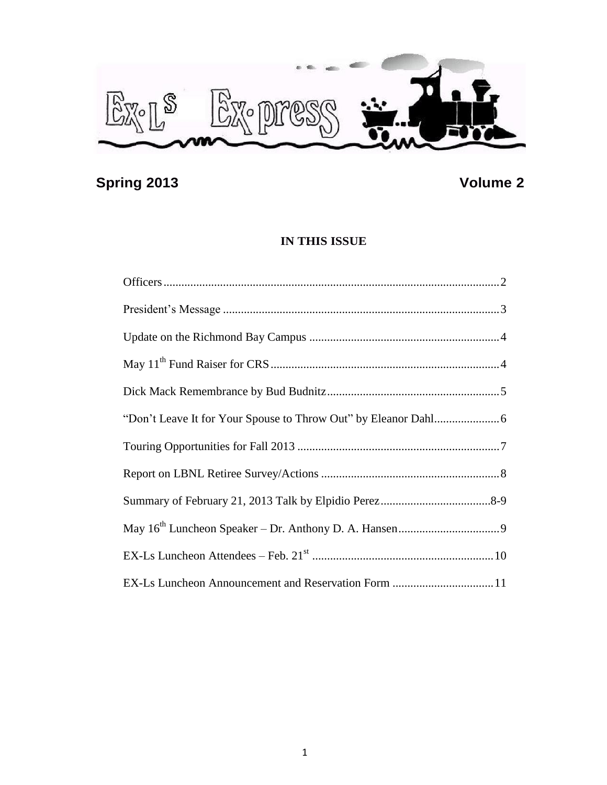

# **Spring 2013 Volume 2**

# **IN THIS ISSUE**

| EX-Ls Luncheon Announcement and Reservation Form 11 |  |
|-----------------------------------------------------|--|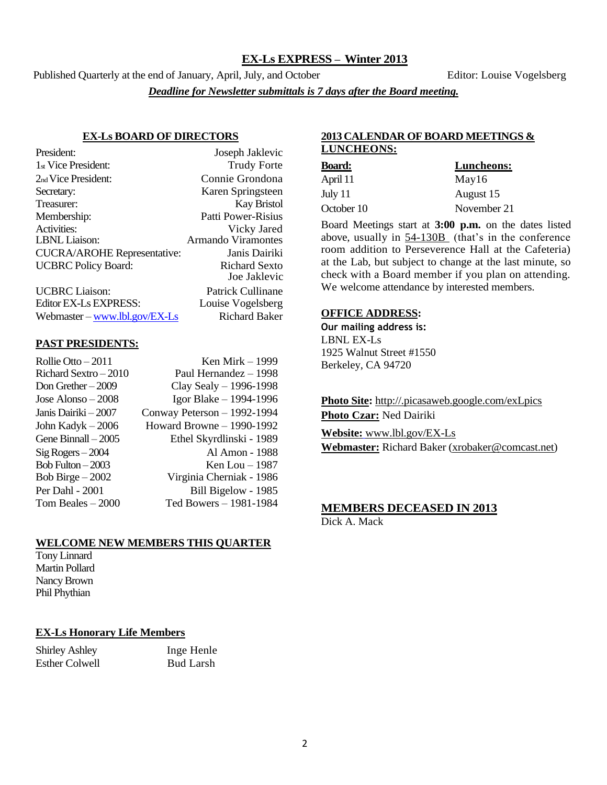# **EX-Ls EXPRESS – Winter 2013**

Published Quarterly at the end of January, April, July, and October Editor: Louise Vogelsberg

*Deadline for Newsletter submittals is 7 days after the Board meeting.*

#### **EX-Ls BOARD OF DIRECTORS**

| President:                                        | Joseph Jaklevic           |
|---------------------------------------------------|---------------------------|
| 1 <sub>st</sub> Vice President:                   | <b>Trudy Forte</b>        |
| 2 <sub>nd</sub> Vice President:                   | Connie Grondona           |
| Secretary:                                        | Karen Springsteen         |
| Treasurer:                                        | Kay Bristol               |
| Membership:                                       | <b>Patti Power-Risius</b> |
| Activities:                                       | Vicky Jared               |
| <b>LBNL</b> Liaison:                              | <b>Armando Viramontes</b> |
| <b>CUCRA/AROHE Representative:</b>                | Janis Dairiki             |
| <b>UCBRC</b> Policy Board:                        | Richard Sexto             |
|                                                   | Joe Jaklevic              |
| <b>UCBRC</b> Liaison:                             | Patrick Cullinane         |
| Editor EX-Ls EXPRESS:                             | Louise Vogelsberg         |
| Webmaster $-\underline{\text{www.lbl.gov/EX-Ls}}$ | <b>Richard Baker</b>      |

#### **PAST PRESIDENTS:**

| Ken Mirk – 1999             |
|-----------------------------|
| Paul Hernandez - 1998       |
| Clay Sealy $-$ 1996-1998    |
| Igor Blake - 1994-1996      |
| Conway Peterson - 1992-1994 |
| Howard Browne - 1990-1992   |
| Ethel Skyrdlinski - 1989    |
| Al Amon - 1988              |
| Ken Lou $-1987$             |
| Virginia Cherniak - 1986    |
| Bill Bigelow - 1985         |
| Ted Bowers - 1981-1984      |
|                             |

#### **WELCOME NEW MEMBERS THIS QUARTER**

Tony Linnard Martin Pollard Nancy Brown Phil Phythian

# **EX-Ls Honorary Life Members**

Shirley Ashley Inge Henle Esther Colwell Bud Larsh

# **2013 CALENDAR OF BOARD MEETINGS & LUNCHEONS:**

| <b>Board:</b> | Luncheons:  |
|---------------|-------------|
| April 11      | May16       |
| July 11       | August 15   |
| October 10    | November 21 |

Board Meetings start at **3:00 p.m.** on the dates listed above, usually in 54-130B (that's in the conference room addition to Perseverence Hall at the Cafeteria) at the Lab, but subject to change at the last minute, so check with a Board member if you plan on attending. We welcome attendance by interested members.

#### **OFFICE ADDRESS:**

**Our mailing address is:** LBNL EX-Ls 1925 Walnut Street #1550 Berkeley, CA 94720

**Photo Site:** http://.picasaweb.google.com/exLpics **Photo Czar:** Ned Dairiki

**Website:** [www.lbl.gov/EX-Ls](http://www.lbl.gov/EX-Ls) **Webmaster:** Richard Baker [\(xrobaker@comcast.net\)](mailto:xrobaker@comcast.net)

# **MEMBERS DECEASED IN 2013**

Dick A. Mack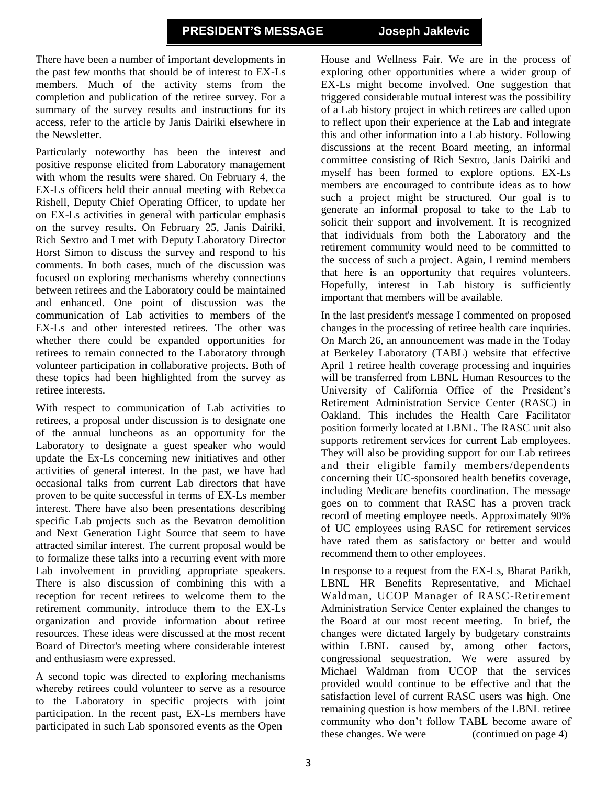There have been a number of important developments in the past few months that should be of interest to EX-Ls members. Much of the activity stems from the completion and publication of the retiree survey. For a summary of the survey results and instructions for its access, refer to the article by Janis Dairiki elsewhere in the Newsletter.

Particularly noteworthy has been the interest and positive response elicited from Laboratory management with whom the results were shared. On February 4, the EX-Ls officers held their annual meeting with Rebecca Rishell, Deputy Chief Operating Officer, to update her on EX-Ls activities in general with particular emphasis on the survey results. On February 25, Janis Dairiki, Rich Sextro and I met with Deputy Laboratory Director Horst Simon to discuss the survey and respond to his comments. In both cases, much of the discussion was focused on exploring mechanisms whereby connections between retirees and the Laboratory could be maintained and enhanced. One point of discussion was the communication of Lab activities to members of the EX-Ls and other interested retirees. The other was whether there could be expanded opportunities for retirees to remain connected to the Laboratory through volunteer participation in collaborative projects. Both of these topics had been highlighted from the survey as retiree interests.

With respect to communication of Lab activities to retirees, a proposal under discussion is to designate one of the annual luncheons as an opportunity for the Laboratory to designate a guest speaker who would update the Ex-Ls concerning new initiatives and other activities of general interest. In the past, we have had occasional talks from current Lab directors that have proven to be quite successful in terms of EX-Ls member interest. There have also been presentations describing specific Lab projects such as the Bevatron demolition and Next Generation Light Source that seem to have attracted similar interest. The current proposal would be to formalize these talks into a recurring event with more Lab involvement in providing appropriate speakers. There is also discussion of combining this with a reception for recent retirees to welcome them to the retirement community, introduce them to the EX-Ls organization and provide information about retiree resources. These ideas were discussed at the most recent Board of Director's meeting where considerable interest and enthusiasm were expressed.

A second topic was directed to exploring mechanisms whereby retirees could volunteer to serve as a resource to the Laboratory in specific projects with joint participation. In the recent past, EX-Ls members have participated in such Lab sponsored events as the Open

House and Wellness Fair. We are in the process of exploring other opportunities where a wider group of EX-Ls might become involved. One suggestion that triggered considerable mutual interest was the possibility of a Lab history project in which retirees are called upon to reflect upon their experience at the Lab and integrate this and other information into a Lab history. Following discussions at the recent Board meeting, an informal committee consisting of Rich Sextro, Janis Dairiki and myself has been formed to explore options. EX-Ls members are encouraged to contribute ideas as to how such a project might be structured. Our goal is to generate an informal proposal to take to the Lab to solicit their support and involvement. It is recognized that individuals from both the Laboratory and the retirement community would need to be committed to the success of such a project. Again, I remind members that here is an opportunity that requires volunteers. Hopefully, interest in Lab history is sufficiently important that members will be available.

In the last president's message I commented on proposed changes in the processing of retiree health care inquiries. On March 26, an announcement was made in the Today at Berkeley Laboratory (TABL) website that effective April 1 retiree health coverage processing and inquiries will be transferred from LBNL Human Resources to the University of California Office of the President's Retirement Administration Service Center (RASC) in Oakland. This includes the Health Care Facilitator position formerly located at LBNL. The RASC unit also supports retirement services for current Lab employees. They will also be providing support for our Lab retirees and their eligible family members/dependents concerning their UC-sponsored health benefits coverage, including Medicare benefits coordination. The message goes on to comment that RASC has a proven track record of meeting employee needs. Approximately 90% of UC employees using RASC for retirement services have rated them as satisfactory or better and would recommend them to other employees.

In response to a request from the EX-Ls, Bharat Parikh, LBNL HR Benefits Representative, and Michael Waldman, UCOP Manager of RASC-Retirement Administration Service Center explained the changes to the Board at our most recent meeting. In brief, the changes were dictated largely by budgetary constraints within LBNL caused by, among other factors, congressional sequestration. We were assured by Michael Waldman from UCOP that the services provided would continue to be effective and that the satisfaction level of current RASC users was high. One remaining question is how members of the LBNL retiree community who don't follow TABL become aware of these changes. We were (continued on page 4)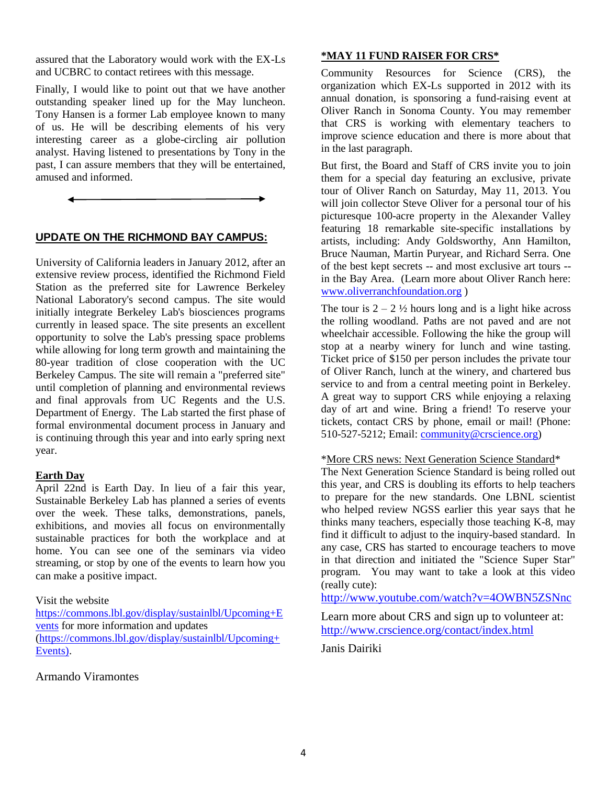assured that the Laboratory would work with the EX-Ls and UCBRC to contact retirees with this message.

Finally, I would like to point out that we have another outstanding speaker lined up for the May luncheon. Tony Hansen is a former Lab employee known to many of us. He will be describing elements of his very interesting career as a globe-circling air pollution analyst. Having listened to presentations by Tony in the past, I can assure members that they will be entertained, amused and informed.

# **UPDATE ON THE RICHMOND BAY CAMPUS:**

University of California leaders in January 2012, after an extensive review process, identified the Richmond Field Station as the preferred site for Lawrence Berkeley National Laboratory's second campus. The site would initially integrate Berkeley Lab's biosciences programs currently in leased space. The site presents an excellent opportunity to solve the Lab's pressing space problems while allowing for long term growth and maintaining the 80-year tradition of close cooperation with the UC Berkeley Campus. The site will remain a "preferred site" until completion of planning and environmental reviews and final approvals from UC Regents and the U.S. Department of Energy. The Lab started the first phase of formal environmental document process in January and is continuing through this year and into early spring next year.

#### **Earth Day**

April 22nd is Earth Day. In lieu of a fair this year, Sustainable Berkeley Lab has planned a series of events over the week. These talks, demonstrations, panels, exhibitions, and movies all focus on environmentally sustainable practices for both the workplace and at home. You can see one of the seminars via video streaming, or stop by one of the events to learn how you can make a positive impact.

# Visit the website

[https://commons.lbl.gov/display/sustainlbl/Upcoming+E](https://commons.lbl.gov/display/sustainlbl/Upcoming+Events) [vents](https://commons.lbl.gov/display/sustainlbl/Upcoming+Events) for more information and updates [\(https://commons.lbl.gov/display/sustainlbl/Upcoming+](https://commons.lbl.gov/display/sustainlbl/Upcoming+Events)) [Events\).](https://commons.lbl.gov/display/sustainlbl/Upcoming+Events))

# Armando Viramontes

#### **\*MAY 11 FUND RAISER FOR CRS\***

Community Resources for Science (CRS), the organization which EX-Ls supported in 2012 with its annual donation, is sponsoring a fund-raising event at Oliver Ranch in Sonoma County. You may remember that CRS is working with elementary teachers to improve science education and there is more about that in the last paragraph.

But first, the Board and Staff of CRS invite you to join them for a special day featuring an exclusive, private tour of Oliver Ranch on Saturday, May 11, 2013. You will join collector Steve Oliver for a personal tour of his picturesque 100-acre property in the Alexander Valley featuring 18 remarkable site-specific installations by artists, including: Andy Goldsworthy, Ann Hamilton, Bruce Nauman, Martin Puryear, and Richard Serra. One of the best kept secrets -- and most exclusive art tours - in the Bay Area. (Learn more about Oliver Ranch here: [www.oliverranchfoundation.org](http://www.oliverranchfoundation.org/) )

The tour is  $2 - 2 \frac{1}{2}$  hours long and is a light hike across the rolling woodland. Paths are not paved and are not wheelchair accessible. Following the hike the group will stop at a nearby winery for lunch and wine tasting. Ticket price of \$150 per person includes the private tour of Oliver Ranch, lunch at the winery, and chartered bus service to and from a central meeting point in Berkeley. A great way to support CRS while enjoying a relaxing day of art and wine. Bring a friend! To reserve your tickets, contact CRS by phone, email or mail! (Phone: 510-527-5212; Email: [community@crscience.org\)](mailto:community@crscience.org)

#### \*More CRS news: Next Generation Science Standard\*

The Next Generation Science Standard is being rolled out this year, and CRS is doubling its efforts to help teachers to prepare for the new standards. One LBNL scientist who helped review NGSS earlier this year says that he thinks many teachers, especially those teaching K-8, may find it difficult to adjust to the inquiry-based standard. In any case, CRS has started to encourage teachers to move in that direction and initiated the "Science Super Star" program. You may want to take a look at this video (really cute):

<http://www.youtube.com/watch?v=4OWBN5ZSNnc>

Learn more about CRS and sign up to volunteer at: <http://www.crscience.org/contact/index.html>

Janis Dairiki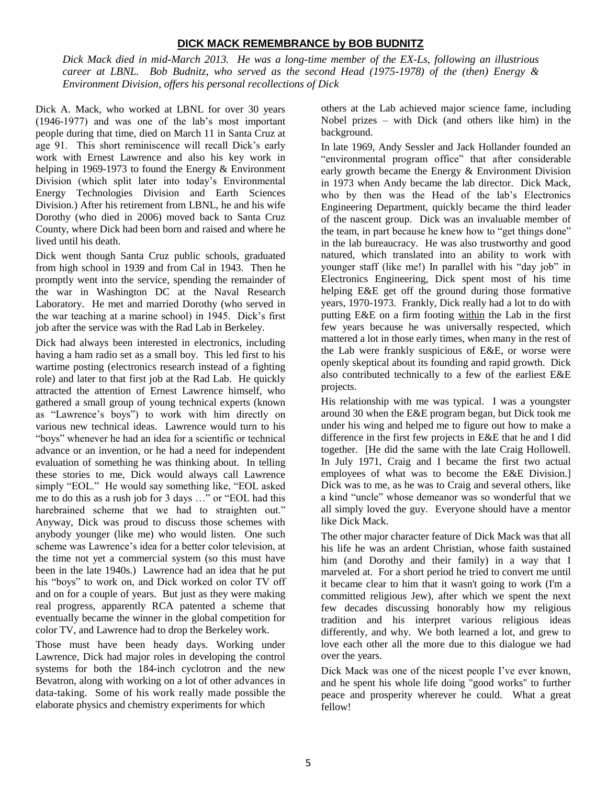# **DICK MACK REMEMBRANCE by BOB BUDNITZ**

*Dick Mack died in mid-March 2013. He was a long-time member of the EX-Ls, following an illustrious career at LBNL. Bob Budnitz, who served as the second Head (1975-1978) of the (then) Energy & Environment Division, offers his personal recollections of Dick*

Dick A. Mack, who worked at LBNL for over 30 years (1946-1977) and was one of the lab's most important people during that time, died on March 11 in Santa Cruz at age 91. This short reminiscence will recall Dick's early work with Ernest Lawrence and also his key work in helping in 1969-1973 to found the Energy & Environment Division (which split later into today's Environmental Energy Technologies Division and Earth Sciences Division.) After his retirement from LBNL, he and his wife Dorothy (who died in 2006) moved back to Santa Cruz County, where Dick had been born and raised and where he lived until his death.

Dick went though Santa Cruz public schools, graduated from high school in 1939 and from Cal in 1943. Then he promptly went into the service, spending the remainder of the war in Washington DC at the Naval Research Laboratory. He met and married Dorothy (who served in the war teaching at a marine school) in 1945. Dick's first job after the service was with the Rad Lab in Berkeley.

Dick had always been interested in electronics, including having a ham radio set as a small boy. This led first to his wartime posting (electronics research instead of a fighting role) and later to that first job at the Rad Lab. He quickly attracted the attention of Ernest Lawrence himself, who gathered a small group of young technical experts (known as "Lawrence's boys") to work with him directly on various new technical ideas. Lawrence would turn to his "boys" whenever he had an idea for a scientific or technical advance or an invention, or he had a need for independent evaluation of something he was thinking about. In telling these stories to me, Dick would always call Lawrence simply "EOL." He would say something like, "EOL asked me to do this as a rush job for 3 days …" or "EOL had this harebrained scheme that we had to straighten out." Anyway, Dick was proud to discuss those schemes with anybody younger (like me) who would listen. One such scheme was Lawrence's idea for a better color television, at the time not yet a commercial system (so this must have been in the late 1940s.) Lawrence had an idea that he put his "boys" to work on, and Dick worked on color TV off and on for a couple of years. But just as they were making real progress, apparently RCA patented a scheme that eventually became the winner in the global competition for color TV, and Lawrence had to drop the Berkeley work.

Those must have been heady days. Working under Lawrence, Dick had major roles in developing the control systems for both the 184-inch cyclotron and the new Bevatron, along with working on a lot of other advances in data-taking. Some of his work really made possible the elaborate physics and chemistry experiments for which

others at the Lab achieved major science fame, including Nobel prizes – with Dick (and others like him) in the background.

In late 1969, Andy Sessler and Jack Hollander founded an "environmental program office" that after considerable early growth became the Energy & Environment Division in 1973 when Andy became the lab director. Dick Mack, who by then was the Head of the lab's Electronics Engineering Department, quickly became the third leader of the nascent group. Dick was an invaluable member of the team, in part because he knew how to "get things done" in the lab bureaucracy. He was also trustworthy and good natured, which translated into an ability to work with younger staff (like me!) In parallel with his "day job" in Electronics Engineering, Dick spent most of his time helping E&E get off the ground during those formative years, 1970-1973. Frankly, Dick really had a lot to do with putting E&E on a firm footing within the Lab in the first few years because he was universally respected, which mattered a lot in those early times, when many in the rest of the Lab were frankly suspicious of E&E, or worse were openly skeptical about its founding and rapid growth. Dick also contributed technically to a few of the earliest E&E projects.

His relationship with me was typical. I was a youngster around 30 when the E&E program began, but Dick took me under his wing and helped me to figure out how to make a difference in the first few projects in E&E that he and I did together. [He did the same with the late Craig Hollowell. In July 1971, Craig and I became the first two actual employees of what was to become the E&E Division.] Dick was to me, as he was to Craig and several others, like a kind "uncle" whose demeanor was so wonderful that we all simply loved the guy. Everyone should have a mentor like Dick Mack.

The other major character feature of Dick Mack was that all his life he was an ardent Christian, whose faith sustained him (and Dorothy and their family) in a way that I marveled at. For a short period he tried to convert me until it became clear to him that it wasn't going to work (I'm a committed religious Jew), after which we spent the next few decades discussing honorably how my religious tradition and his interpret various religious ideas differently, and why. We both learned a lot, and grew to love each other all the more due to this dialogue we had over the years.

Dick Mack was one of the nicest people I've ever known, and he spent his whole life doing "good works" to further peace and prosperity wherever he could. What a great fellow!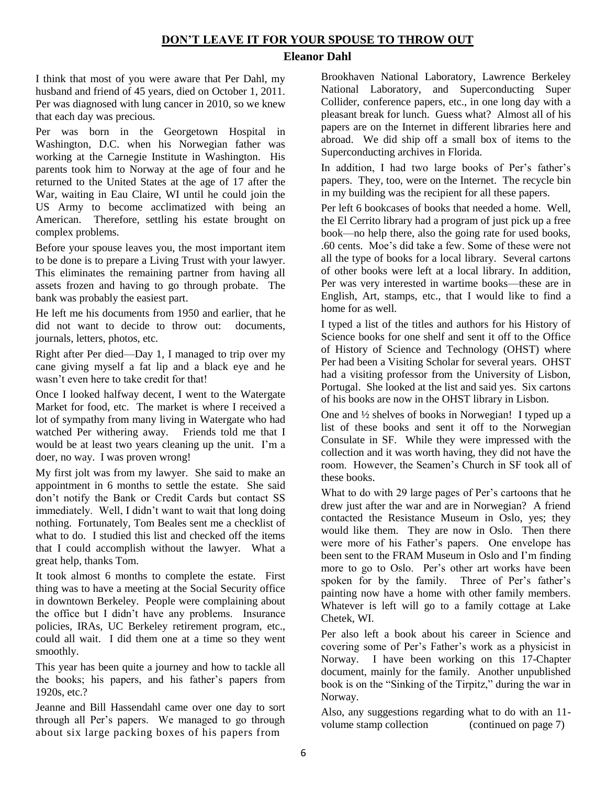# **DON'T LEAVE IT FOR YOUR SPOUSE TO THROW OUT**

# **Eleanor Dahl**

I think that most of you were aware that Per Dahl, my husband and friend of 45 years, died on October 1, 2011. Per was diagnosed with lung cancer in 2010, so we knew that each day was precious.

Per was born in the Georgetown Hospital in Washington, D.C. when his Norwegian father was working at the Carnegie Institute in Washington. His parents took him to Norway at the age of four and he returned to the United States at the age of 17 after the War, waiting in Eau Claire, WI until he could join the US Army to become acclimatized with being an American. Therefore, settling his estate brought on complex problems.

Before your spouse leaves you, the most important item to be done is to prepare a Living Trust with your lawyer. This eliminates the remaining partner from having all assets frozen and having to go through probate. The bank was probably the easiest part.

He left me his documents from 1950 and earlier, that he did not want to decide to throw out: documents, journals, letters, photos, etc.

Right after Per died—Day 1, I managed to trip over my cane giving myself a fat lip and a black eye and he wasn't even here to take credit for that!

Once I looked halfway decent, I went to the Watergate Market for food, etc. The market is where I received a lot of sympathy from many living in Watergate who had watched Per withering away. Friends told me that I would be at least two years cleaning up the unit. I'm a doer, no way. I was proven wrong!

My first jolt was from my lawyer. She said to make an appointment in 6 months to settle the estate. She said don't notify the Bank or Credit Cards but contact SS immediately. Well, I didn't want to wait that long doing nothing. Fortunately, Tom Beales sent me a checklist of what to do. I studied this list and checked off the items that I could accomplish without the lawyer. What a great help, thanks Tom.

It took almost 6 months to complete the estate. First thing was to have a meeting at the Social Security office in downtown Berkeley. People were complaining about the office but I didn't have any problems. Insurance policies, IRAs, UC Berkeley retirement program, etc., could all wait. I did them one at a time so they went smoothly.

This year has been quite a journey and how to tackle all the books; his papers, and his father's papers from 1920s, etc.?

Jeanne and Bill Hassendahl came over one day to sort through all Per's papers. We managed to go through about six large packing boxes of his papers from

Brookhaven National Laboratory, Lawrence Berkeley National Laboratory, and Superconducting Super Collider, conference papers, etc., in one long day with a pleasant break for lunch. Guess what? Almost all of his papers are on the Internet in different libraries here and abroad. We did ship off a small box of items to the Superconducting archives in Florida.

In addition, I had two large books of Per's father's papers. They, too, were on the Internet. The recycle bin in my building was the recipient for all these papers.

Per left 6 bookcases of books that needed a home. Well, the El Cerrito library had a program of just pick up a free book—no help there, also the going rate for used books, .60 cents. Moe's did take a few. Some of these were not all the type of books for a local library. Several cartons of other books were left at a local library. In addition, Per was very interested in wartime books—these are in English, Art, stamps, etc., that I would like to find a home for as well.

I typed a list of the titles and authors for his History of Science books for one shelf and sent it off to the Office of History of Science and Technology (OHST) where Per had been a Visiting Scholar for several years. OHST had a visiting professor from the University of Lisbon, Portugal. She looked at the list and said yes. Six cartons of his books are now in the OHST library in Lisbon.

One and ½ shelves of books in Norwegian! I typed up a list of these books and sent it off to the Norwegian Consulate in SF. While they were impressed with the collection and it was worth having, they did not have the room. However, the Seamen's Church in SF took all of these books.

What to do with 29 large pages of Per's cartoons that he drew just after the war and are in Norwegian? A friend contacted the Resistance Museum in Oslo, yes; they would like them. They are now in Oslo. Then there were more of his Father's papers. One envelope has been sent to the FRAM Museum in Oslo and I'm finding more to go to Oslo. Per's other art works have been spoken for by the family. Three of Per's father's painting now have a home with other family members. Whatever is left will go to a family cottage at Lake Chetek, WI.

Per also left a book about his career in Science and covering some of Per's Father's work as a physicist in Norway. I have been working on this 17-Chapter document, mainly for the family. Another unpublished book is on the "Sinking of the Tirpitz," during the war in Norway.

Also, any suggestions regarding what to do with an 11 volume stamp collection (continued on page 7)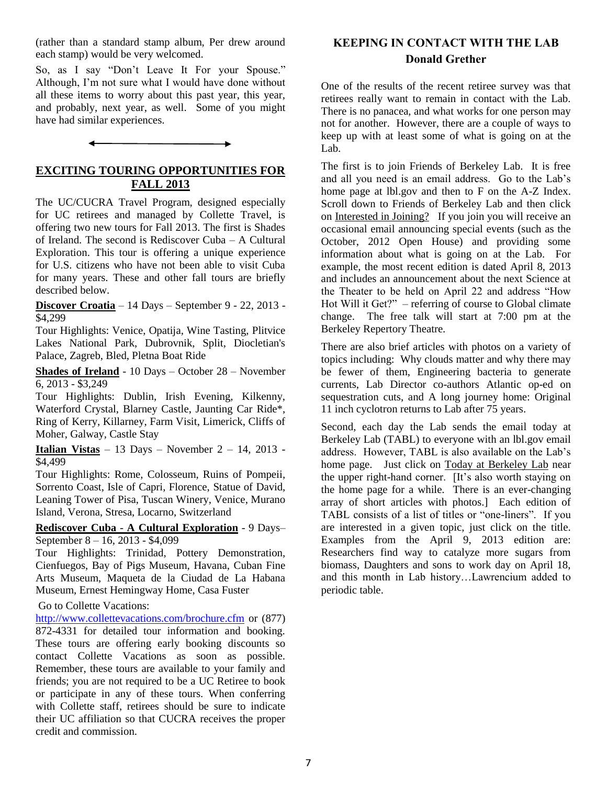(rather than a standard stamp album, Per drew around each stamp) would be very welcomed.

So, as I say "Don't Leave It For your Spouse." Although, I'm not sure what I would have done without all these items to worry about this past year, this year, and probably, next year, as well. Some of you might have had similar experiences.

# **EXCITING TOURING OPPORTUNITIES FOR FALL 2013**

The UC/CUCRA Travel Program, designed especially for UC retirees and managed by Collette Travel, is offering two new tours for Fall 2013. The first is Shades of Ireland. The second is Rediscover Cuba – A Cultural Exploration. This tour is offering a unique experience for U.S. citizens who have not been able to visit Cuba for many years. These and other fall tours are briefly described below.

**Discover Croatia** – 14 Days – September 9 - 22, 2013 - \$4,299

Tour Highlights: Venice, Opatija, Wine Tasting, Plitvice Lakes National Park, Dubrovnik, Split, Diocletian's Palace, Zagreb, Bled, Pletna Boat Ride

**Shades of Ireland** - 10 Days – October 28 – November 6, 2013 - \$3,249

Tour Highlights: Dublin, Irish Evening, Kilkenny, Waterford Crystal, Blarney Castle, Jaunting Car Ride\*, Ring of Kerry, Killarney, Farm Visit, Limerick, Cliffs of Moher, Galway, Castle Stay

**Italian Vistas** – 13 Days – November 2 – 14, 2013 - \$4,499

Tour Highlights: Rome, Colosseum, Ruins of Pompeii, Sorrento Coast, Isle of Capri, Florence, Statue of David, Leaning Tower of Pisa, Tuscan Winery, Venice, Murano Island, Verona, Stresa, Locarno, Switzerland

**Rediscover Cuba** - **A Cultural Exploration** - 9 Days– September 8 – 16, 2013 - \$4,099

Tour Highlights: Trinidad, Pottery Demonstration, Cienfuegos, Bay of Pigs Museum, Havana, Cuban Fine Arts Museum, Maqueta de la Ciudad de La Habana Museum, Ernest Hemingway Home, Casa Fuster

Go to Collette Vacations:

<http://www.collettevacations.com/brochure.cfm> or (877) 872-4331 for detailed tour information and booking. These tours are offering early booking discounts so contact Collette Vacations as soon as possible. Remember, these tours are available to your family and friends; you are not required to be a UC Retiree to book or participate in any of these tours. When conferring with Collette staff, retirees should be sure to indicate their UC affiliation so that CUCRA receives the proper credit and commission.

# **KEEPING IN CONTACT WITH THE LAB Donald Grether**

One of the results of the recent retiree survey was that retirees really want to remain in contact with the Lab. There is no panacea, and what works for one person may not for another. However, there are a couple of ways to keep up with at least some of what is going on at the Lab.

The first is to join Friends of Berkeley Lab. It is free and all you need is an email address. Go to the Lab's home page at lbl.gov and then to F on the A-Z Index. Scroll down to Friends of Berkeley Lab and then click on Interested in Joining? If you join you will receive an occasional email announcing special events (such as the October, 2012 Open House) and providing some information about what is going on at the Lab. For example, the most recent edition is dated April 8, 2013 and includes an announcement about the next Science at the Theater to be held on April 22 and address "How Hot Will it Get?" – referring of course to Global climate change. The free talk will start at 7:00 pm at the Berkeley Repertory Theatre.

There are also brief articles with photos on a variety of topics including: Why clouds matter and why there may be fewer of them, Engineering bacteria to generate currents, Lab Director co-authors Atlantic op-ed on sequestration cuts, and A long journey home: Original 11 inch cyclotron returns to Lab after 75 years.

Second, each day the Lab sends the email today at Berkeley Lab (TABL) to everyone with an lbl.gov email address. However, TABL is also available on the Lab's home page. Just click on Today at Berkeley Lab near the upper right-hand corner. [It's also worth staying on the home page for a while. There is an ever-changing array of short articles with photos.] Each edition of TABL consists of a list of titles or "one-liners". If you are interested in a given topic, just click on the title. Examples from the April 9, 2013 edition are: Researchers find way to catalyze more sugars from biomass, Daughters and sons to work day on April 18, and this month in Lab history…Lawrencium added to periodic table.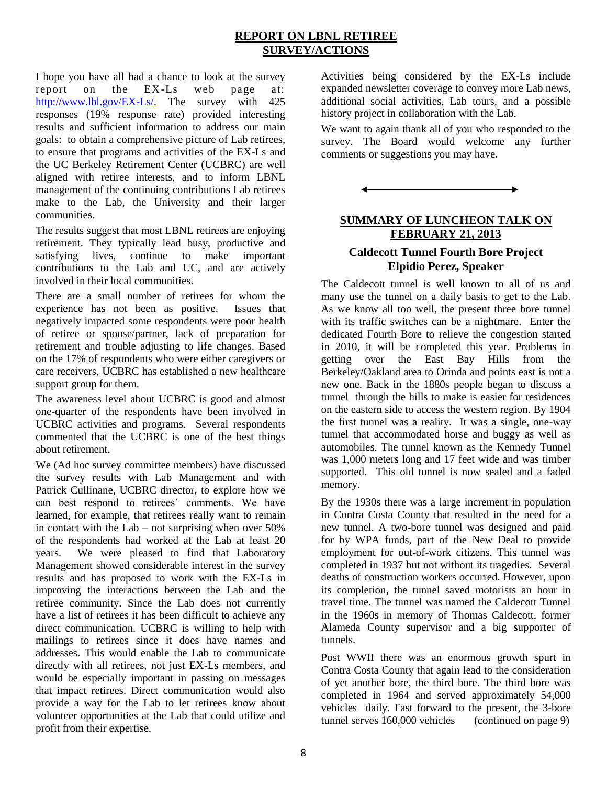# **REPORT ON LBNL RETIREE SURVEY/ACTIONS**

I hope you have all had a chance to look at the survey report on the EX-Ls web page at: [http://www.lbl.gov/EX-Ls/.](http://www.lbl.gov/EX-Ls/) The survey with 425 responses (19% response rate) provided interesting results and sufficient information to address our main goals: to obtain a comprehensive picture of Lab retirees, to ensure that programs and activities of the EX-Ls and the UC Berkeley Retirement Center (UCBRC) are well aligned with retiree interests, and to inform LBNL management of the continuing contributions Lab retirees make to the Lab, the University and their larger communities.

The results suggest that most LBNL retirees are enjoying retirement. They typically lead busy, productive and satisfying lives, continue to make important contributions to the Lab and UC, and are actively involved in their local communities.

There are a small number of retirees for whom the experience has not been as positive. Issues that negatively impacted some respondents were poor health of retiree or spouse/partner, lack of preparation for retirement and trouble adjusting to life changes. Based on the 17% of respondents who were either caregivers or care receivers, UCBRC has established a new healthcare support group for them.

The awareness level about UCBRC is good and almost one-quarter of the respondents have been involved in UCBRC activities and programs. Several respondents commented that the UCBRC is one of the best things about retirement.

We (Ad hoc survey committee members) have discussed the survey results with Lab Management and with Patrick Cullinane, UCBRC director, to explore how we can best respond to retirees' comments. We have learned, for example, that retirees really want to remain in contact with the  $Lab - not$  surprising when over  $50\%$ of the respondents had worked at the Lab at least 20 years. We were pleased to find that Laboratory Management showed considerable interest in the survey results and has proposed to work with the EX-Ls in improving the interactions between the Lab and the retiree community. Since the Lab does not currently have a list of retirees it has been difficult to achieve any direct communication. UCBRC is willing to help with mailings to retirees since it does have names and addresses. This would enable the Lab to communicate directly with all retirees, not just EX-Ls members, and would be especially important in passing on messages that impact retirees. Direct communication would also provide a way for the Lab to let retirees know about volunteer opportunities at the Lab that could utilize and profit from their expertise.

Activities being considered by the EX-Ls include expanded newsletter coverage to convey more Lab news, additional social activities, Lab tours, and a possible history project in collaboration with the Lab.

We want to again thank all of you who responded to the survey. The Board would welcome any further comments or suggestions you may have.



# **SUMMARY OF LUNCHEON TALK ON FEBRUARY 21, 2013**

# **Caldecott Tunnel Fourth Bore Project Elpidio Perez, Speaker**

The Caldecott tunnel is well known to all of us and many use the tunnel on a daily basis to get to the Lab. As we know all too well, the present three bore tunnel with its traffic switches can be a nightmare. Enter the dedicated Fourth Bore to relieve the congestion started in 2010, it will be completed this year. Problems in getting over the East Bay Hills from the Berkeley/Oakland area to Orinda and points east is not a new one. Back in the 1880s people began to discuss a tunnel through the hills to make is easier for residences on the eastern side to access the western region. By 1904 the first tunnel was a reality. It was a single, one-way tunnel that accommodated horse and buggy as well as automobiles. The tunnel known as the Kennedy Tunnel was 1,000 meters long and 17 feet wide and was timber supported. This old tunnel is now sealed and a faded memory.

By the 1930s there was a large increment in population in Contra Costa County that resulted in the need for a new tunnel. A two-bore tunnel was designed and paid for by WPA funds, part of the New Deal to provide employment for out-of-work citizens. This tunnel was completed in 1937 but not without its tragedies. Several deaths of construction workers occurred. However, upon its completion, the tunnel saved motorists an hour in travel time. The tunnel was named the Caldecott Tunnel in the 1960s in memory of Thomas Caldecott, former Alameda County supervisor and a big supporter of tunnels.

Post WWII there was an enormous growth spurt in Contra Costa County that again lead to the consideration of yet another bore, the third bore. The third bore was completed in 1964 and served approximately 54,000 vehicles daily. Fast forward to the present, the 3-bore tunnel serves 160,000 vehicles (continued on page 9)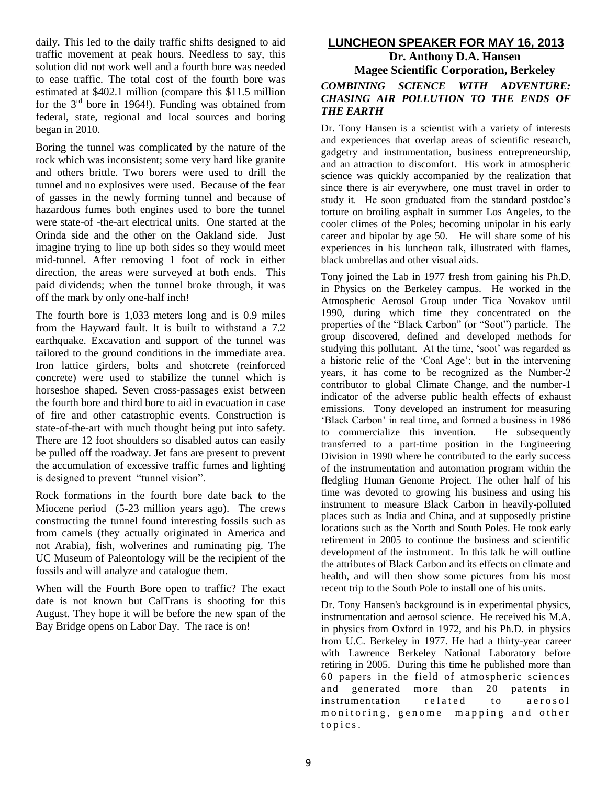daily. This led to the daily traffic shifts designed to aid traffic movement at peak hours. Needless to say, this solution did not work well and a fourth bore was needed to ease traffic. The total cost of the fourth bore was estimated at \$402.1 million (compare this \$11.5 million for the  $3<sup>rd</sup>$  bore in 1964!). Funding was obtained from federal, state, regional and local sources and boring began in 2010.

Boring the tunnel was complicated by the nature of the rock which was inconsistent; some very hard like granite and others brittle. Two borers were used to drill the tunnel and no explosives were used. Because of the fear of gasses in the newly forming tunnel and because of hazardous fumes both engines used to bore the tunnel were state-of -the-art electrical units. One started at the Orinda side and the other on the Oakland side. Just imagine trying to line up both sides so they would meet mid-tunnel. After removing 1 foot of rock in either direction, the areas were surveyed at both ends. This paid dividends; when the tunnel broke through, it was off the mark by only one-half inch!

The fourth bore is 1,033 meters long and is 0.9 miles from the Hayward fault. It is built to withstand a 7.2 earthquake. Excavation and support of the tunnel was tailored to the ground conditions in the immediate area. Iron lattice girders, bolts and shotcrete (reinforced concrete) were used to stabilize the tunnel which is horseshoe shaped. Seven cross-passages exist between the fourth bore and third bore to aid in evacuation in case of fire and other catastrophic events. Construction is state-of-the-art with much thought being put into safety. There are 12 foot shoulders so disabled autos can easily be pulled off the roadway. Jet fans are present to prevent the accumulation of excessive traffic fumes and lighting is designed to prevent "tunnel vision".

Rock formations in the fourth bore date back to the Miocene period (5-23 million years ago). The crews constructing the tunnel found interesting fossils such as from camels (they actually originated in America and not Arabia), fish, wolverines and ruminating pig. The UC Museum of Paleontology will be the recipient of the fossils and will analyze and catalogue them.

When will the Fourth Bore open to traffic? The exact date is not known but CalTrans is shooting for this August. They hope it will be before the new span of the Bay Bridge opens on Labor Day. The race is on!

# **LUNCHEON SPEAKER FOR MAY 16, 2013**

# **Dr. Anthony D.A. Hansen Magee Scientific Corporation, Berkeley** *COMBINING SCIENCE WITH ADVENTURE: CHASING AIR POLLUTION TO THE ENDS OF THE EARTH*

Dr. Tony Hansen is a scientist with a variety of interests and experiences that overlap areas of scientific research, gadgetry and instrumentation, business entrepreneurship, and an attraction to discomfort. His work in atmospheric science was quickly accompanied by the realization that since there is air everywhere, one must travel in order to study it. He soon graduated from the standard postdoc's torture on broiling asphalt in summer Los Angeles, to the cooler climes of the Poles; becoming unipolar in his early career and bipolar by age 50. He will share some of his experiences in his luncheon talk, illustrated with flames, black umbrellas and other visual aids.

Tony joined the Lab in 1977 fresh from gaining his Ph.D. in Physics on the Berkeley campus. He worked in the Atmospheric Aerosol Group under Tica Novakov until 1990, during which time they concentrated on the properties of the "Black Carbon" (or "Soot") particle. The group discovered, defined and developed methods for studying this pollutant. At the time, 'soot' was regarded as a historic relic of the 'Coal Age'; but in the intervening years, it has come to be recognized as the Number-2 contributor to global Climate Change, and the number-1 indicator of the adverse public health effects of exhaust emissions. Tony developed an instrument for measuring 'Black Carbon' in real time, and formed a business in 1986 to commercialize this invention. He subsequently transferred to a part-time position in the Engineering Division in 1990 where he contributed to the early success of the instrumentation and automation program within the fledgling Human Genome Project. The other half of his time was devoted to growing his business and using his instrument to measure Black Carbon in heavily-polluted places such as India and China, and at supposedly pristine locations such as the North and South Poles. He took early retirement in 2005 to continue the business and scientific development of the instrument. In this talk he will outline the attributes of Black Carbon and its effects on climate and health, and will then show some pictures from his most recent trip to the South Pole to install one of his units.

Dr. Tony Hansen's background is in experimental physics, instrumentation and aerosol science. He received his M.A. in physics from Oxford in 1972, and his Ph.D. in physics from U.C. Berkeley in 1977. He had a thirty-year career with Lawrence Berkeley National Laboratory before retiring in 2005. During this time he published more than 60 papers in the field of atmospheric sciences and generated more than 20 patents in instrumentation related to aerosol monitoring, genome mapping and other to pics.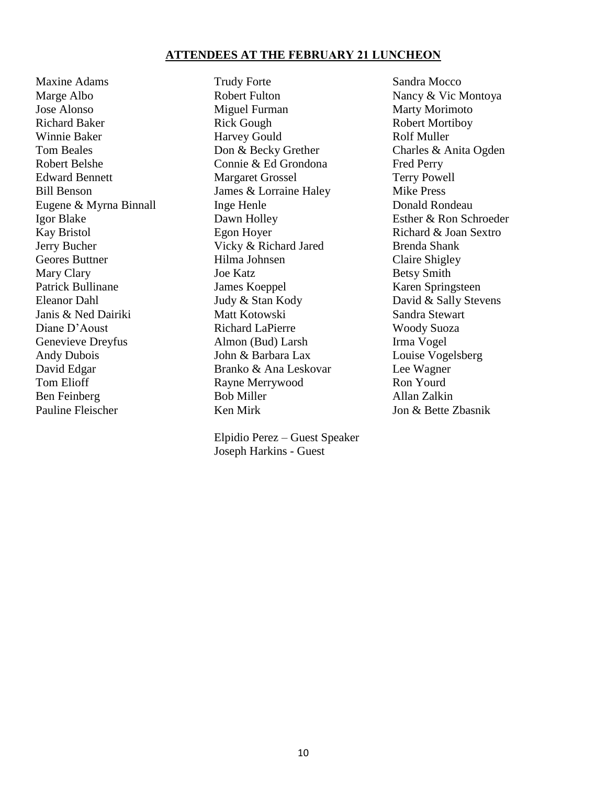# **ATTENDEES AT THE FEBRUARY 21 LUNCHEON**

Pauline Fleischer Ken Mirk Ion & Bette Zbasnik

Maxine Adams Trudy Forte Sandra Mocco Marge Albo **Robert Fulton** Robert Fulton Nancy & Vic Montoya Jose Alonso **Miguel Furman** Marty Morimoto Richard Baker Rick Gough Rick Gough Robert Mortiboy Winnie Baker Harvey Gould Rolf Muller Tom Beales **Don & Becky Grether** Charles & Anita Ogden Robert Belshe Connie & Ed Grondona Fred Perry Edward Bennett Margaret Grossel Terry Powell Bill Benson James & Lorraine Haley Mike Press Eugene & Myrna Binnall Inge Henle Donald Rondeau Igor Blake Dawn Holley Esther & Ron Schroeder Kay Bristol Egon Hoyer Richard & Joan Sextro Jerry Bucher Vicky & Richard Jared Brenda Shank Geores Buttner Hilma Johnsen Claire Shigley Mary Clary **Ioe Katz Betsy Smith** Patrick Bullinane James Koeppel Karen Springsteen Eleanor Dahl Judy & Stan Kody David & Sally Stevens Janis & Ned Dairiki Matt Kotowski Sandra Stewart Diane D'Aoust Richard LaPierre Woody Suoza Genevieve Dreyfus Almon (Bud) Larsh Irma Vogel Andy Dubois John & Barbara Lax Louise Vogelsberg<br>
David Edgar Branko & Ana Leskovar Lee Wagner Branko & Ana Leskovar Lee Wagner Tom Elioff **Rayne Merrywood** Ron Yourd<br>
Ren Feinherg **Ron Ron Ron Ron Ron Ron Ron Ron Ron Ron** Ron Rollan Zalki Ben Feinberg and Bob Miller and Allan Zalkin

> Elpidio Perez – Guest Speaker Joseph Harkins - Guest